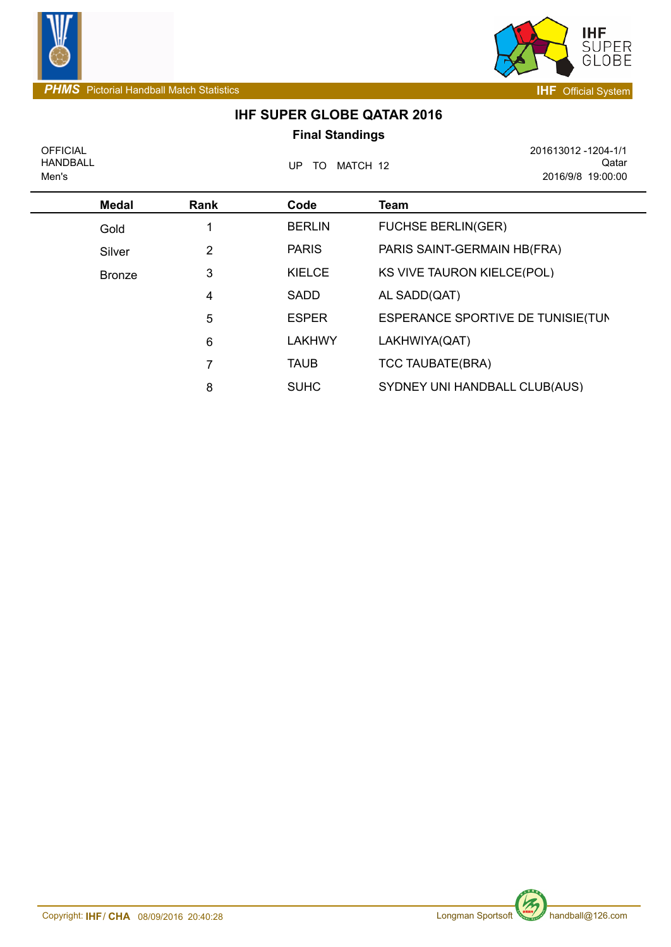

*PHMS*Pictorial Handball Match Statistics **IHF** Official System



## **IHF SUPER GLOBE QATAR 2016 Final Standings**

OFFICIAL HANDBALL Men's

UP TO MATCH 12

201613012 -1204-1/1 Qatar 2016/9/8 19:00:00

| <b>Medal</b>  | Rank | Code          | Team                               |
|---------------|------|---------------|------------------------------------|
| Gold          |      | <b>BERLIN</b> | <b>FUCHSE BERLIN(GER)</b>          |
| Silver        | 2    | <b>PARIS</b>  | PARIS SAINT-GERMAIN HB(FRA)        |
| <b>Bronze</b> | 3    | <b>KIELCE</b> | KS VIVE TAURON KIELCE(POL)         |
|               | 4    | SADD          | AL SADD(QAT)                       |
|               | 5    | <b>ESPER</b>  | ESPERANCE SPORTIVE DE TUNISIE (TUN |
|               | 6    | <b>LAKHWY</b> | LAKHWIYA(QAT)                      |
|               | 7    | <b>TAUB</b>   | <b>TCC TAUBATE(BRA)</b>            |
|               | 8    | <b>SUHC</b>   | SYDNEY UNI HANDBALL CLUB(AUS)      |